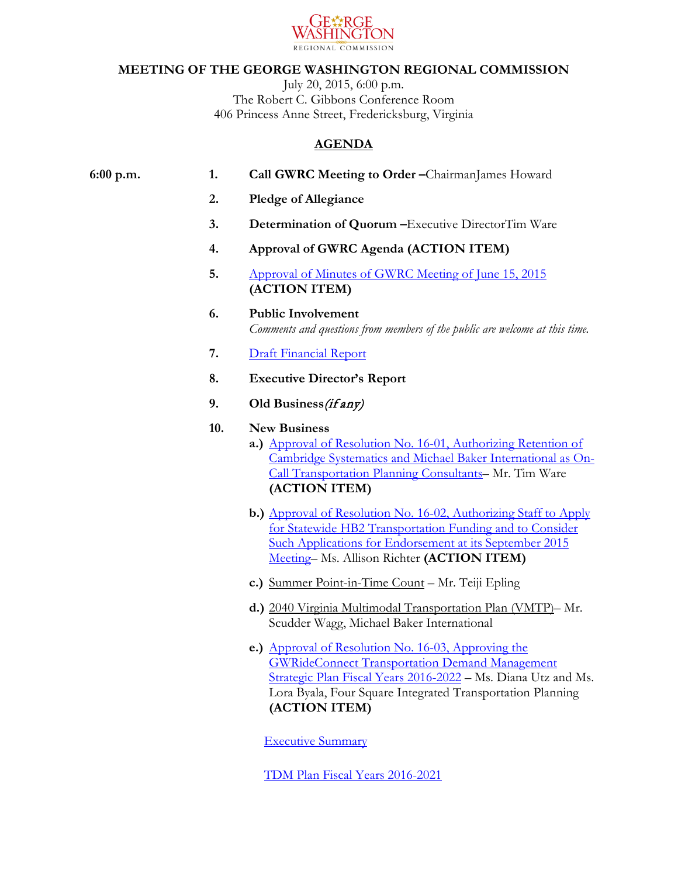

## **MEETING OF THE GEORGE WASHINGTON REGIONAL COMMISSION**

July 20, 2015, 6:00 p.m. The Robert C. Gibbons Conference Room 406 Princess Anne Street, Fredericksburg, Virginia

## **AGENDA**

| 6:00 p.m. | 1.  | Call GWRC Meeting to Order-ChairmanJames Howard                                                                                                                                                                                                     |
|-----------|-----|-----------------------------------------------------------------------------------------------------------------------------------------------------------------------------------------------------------------------------------------------------|
|           | 2.  | <b>Pledge of Allegiance</b>                                                                                                                                                                                                                         |
|           | 3.  | Determination of Quorum - Executive DirectorTim Ware                                                                                                                                                                                                |
|           | 4.  | Approval of GWRC Agenda (ACTION ITEM)                                                                                                                                                                                                               |
|           | 5.  | Approval of Minutes of GWRC Meeting of June 15, 2015<br>(ACTION ITEM)                                                                                                                                                                               |
|           | 6.  | <b>Public Involvement</b><br>Comments and questions from members of the public are welcome at this time.                                                                                                                                            |
|           | 7.  | <b>Draft Financial Report</b>                                                                                                                                                                                                                       |
|           | 8.  | <b>Executive Director's Report</b>                                                                                                                                                                                                                  |
|           | 9.  | Old Business (if any)                                                                                                                                                                                                                               |
|           | 10. | <b>New Business</b><br>a.) Approval of Resolution No. 16-01, Authorizing Retention of<br>Cambridge Systematics and Michael Baker International as On-<br>Call Transportation Planning Consultants- Mr. Tim Ware<br>(ACTION ITEM)                    |
|           |     | <b>b.)</b> Approval of Resolution No. 16-02, Authorizing Staff to Apply<br>for Statewide HB2 Transportation Funding and to Consider<br><b>Such Applications for Endorsement at its September 2015</b><br>Meeting- Ms. Allison Richter (ACTION ITEM) |
|           |     | c.) Summer Point-in-Time Count - Mr. Teiji Epling                                                                                                                                                                                                   |
|           |     | d.) 2040 Virginia Multimodal Transportation Plan (VMTP)- Mr.<br>Scudder Wagg, Michael Baker International                                                                                                                                           |
|           |     | e.) Approval of Resolution No. 16-03, Approving the                                                                                                                                                                                                 |

[GWRideConnect Transportation Demand Management](https://www.gwregion.org/wp-content/uploads/2015/07/GWRC-Resolution-16-03-Approving-FY2016-GWRideConnect-6-year-TDM-Plan-attachment-updated.pdf)  [Strategic Plan Fiscal Years 2016-2022](https://www.gwregion.org/wp-content/uploads/2015/07/GWRC-Resolution-16-03-Approving-FY2016-GWRideConnect-6-year-TDM-Plan-attachment-updated.pdf) – Ms. Diana Utz and Ms. Lora Byala, Four Square Integrated Transportation Planning **(ACTION ITEM)**

[Executive Summary](http://www.gwregion.org/wp-content/uploads/2015/07/GWRideConnect-TDMP-Executive-Summary_FINAL.pdf)

[TDM Plan Fiscal Years 2016-2021](http://www.gwregion.org/wp-content/uploads/2015/07/GWRC-TDM-Plan_07132015.pdf)